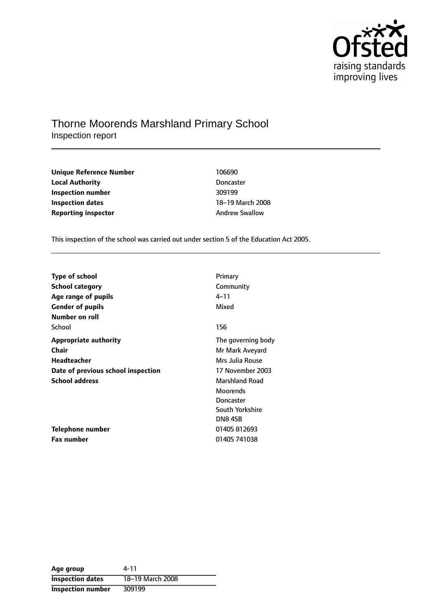

## Thorne Moorends Marshland Primary School Inspection report

| Unique Reference Number    | 106690                |
|----------------------------|-----------------------|
| <b>Local Authority</b>     | <b>Doncaster</b>      |
| Inspection number          | 309199                |
| <b>Inspection dates</b>    | 18-19 March 200       |
| <b>Reporting inspector</b> | <b>Andrew Swallow</b> |

**Doncaster Inspection number** 309199 18-19 March 2008

This inspection of the school was carried out under section 5 of the Education Act 2005.

| <b>Type of school</b>              | Primary               |
|------------------------------------|-----------------------|
| <b>School category</b>             | Community             |
| Age range of pupils                | 4–11                  |
| <b>Gender of pupils</b>            | Mixed                 |
| Number on roll                     |                       |
| School                             | 156                   |
| <b>Appropriate authority</b>       | The governing body    |
| <b>Chair</b>                       | Mr Mark Aveyard       |
| Headteacher                        | Mrs Julia Rouse       |
| Date of previous school inspection | 17 November 2003      |
| <b>School address</b>              | <b>Marshland Road</b> |
|                                    | <b>Moorends</b>       |
|                                    | Doncaster             |
|                                    | South Yorkshire       |
|                                    | DN8 4SB               |
| Telephone number                   | 01405 812693          |
| Fax number                         | 01405 741038          |

| Age group                | 4-11             |
|--------------------------|------------------|
| <b>Inspection dates</b>  | 18-19 March 2008 |
| <b>Inspection number</b> | 309199           |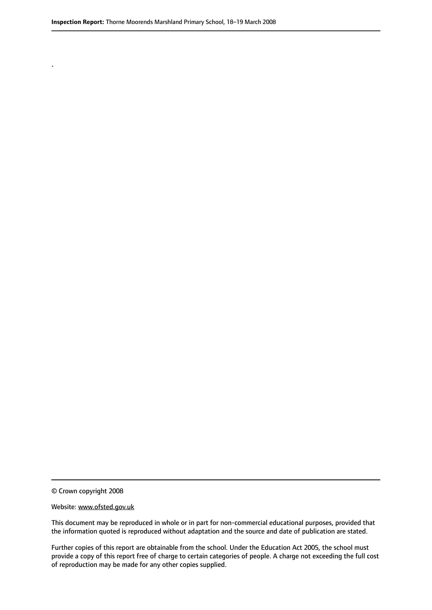.

© Crown copyright 2008

#### Website: www.ofsted.gov.uk

This document may be reproduced in whole or in part for non-commercial educational purposes, provided that the information quoted is reproduced without adaptation and the source and date of publication are stated.

Further copies of this report are obtainable from the school. Under the Education Act 2005, the school must provide a copy of this report free of charge to certain categories of people. A charge not exceeding the full cost of reproduction may be made for any other copies supplied.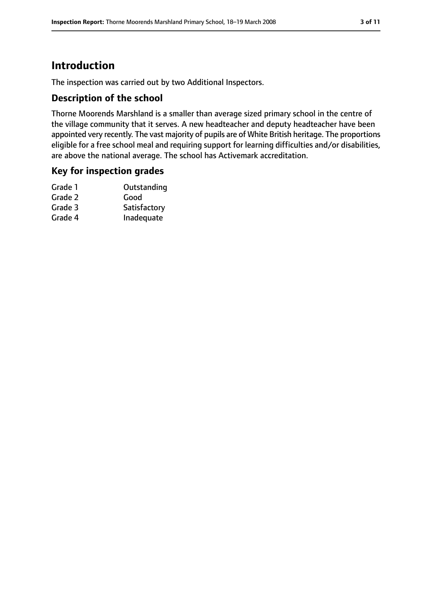# **Introduction**

The inspection was carried out by two Additional Inspectors.

## **Description of the school**

Thorne Moorends Marshland is a smaller than average sized primary school in the centre of the village community that it serves. A new headteacher and deputy headteacher have been appointed very recently. The vast majority of pupils are of White British heritage. The proportions eligible for a free school meal and requiring support for learning difficulties and/or disabilities, are above the national average. The school has Activemark accreditation.

### **Key for inspection grades**

| Outstanding  |
|--------------|
| Good         |
| Satisfactory |
| Inadequate   |
|              |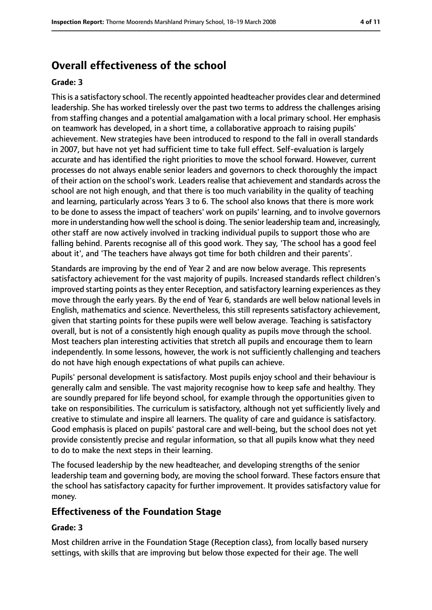# **Overall effectiveness of the school**

#### **Grade: 3**

Thisis a satisfactory school. The recently appointed headteacher provides clear and determined leadership. She has worked tirelessly over the past two terms to address the challenges arising from staffing changes and a potential amalgamation with a local primary school. Her emphasis on teamwork has developed, in a short time, a collaborative approach to raising pupils' achievement. New strategies have been introduced to respond to the fall in overall standards in 2007, but have not yet had sufficient time to take full effect. Self-evaluation is largely accurate and has identified the right priorities to move the school forward. However, current processes do not always enable senior leaders and governors to check thoroughly the impact of their action on the school's work. Leaders realise that achievement and standards across the school are not high enough, and that there is too much variability in the quality of teaching and learning, particularly across Years 3 to 6. The school also knows that there is more work to be done to assess the impact of teachers' work on pupils' learning, and to involve governors more in understanding how well the school is doing. The senior leadership team and, increasingly, other staff are now actively involved in tracking individual pupils to support those who are falling behind. Parents recognise all of this good work. They say, 'The school has a good feel about it', and 'The teachers have always got time for both children and their parents'.

Standards are improving by the end of Year 2 and are now below average. This represents satisfactory achievement for the vast majority of pupils. Increased standards reflect children's improved starting points as they enter Reception, and satisfactory learning experiences as they move through the early years. By the end of Year 6, standards are well below national levels in English, mathematics and science. Nevertheless, this still represents satisfactory achievement, given that starting points for these pupils were well below average. Teaching is satisfactory overall, but is not of a consistently high enough quality as pupils move through the school. Most teachers plan interesting activities that stretch all pupils and encourage them to learn independently. In some lessons, however, the work is not sufficiently challenging and teachers do not have high enough expectations of what pupils can achieve.

Pupils' personal development is satisfactory. Most pupils enjoy school and their behaviour is generally calm and sensible. The vast majority recognise how to keep safe and healthy. They are soundly prepared for life beyond school, for example through the opportunities given to take on responsibilities. The curriculum is satisfactory, although not yet sufficiently lively and creative to stimulate and inspire all learners. The quality of care and guidance is satisfactory. Good emphasis is placed on pupils' pastoral care and well-being, but the school does not yet provide consistently precise and regular information, so that all pupils know what they need to do to make the next steps in their learning.

The focused leadership by the new headteacher, and developing strengths of the senior leadership team and governing body, are moving the school forward. These factors ensure that the school has satisfactory capacity for further improvement. It provides satisfactory value for money.

## **Effectiveness of the Foundation Stage**

### **Grade: 3**

Most children arrive in the Foundation Stage (Reception class), from locally based nursery settings, with skills that are improving but below those expected for their age. The well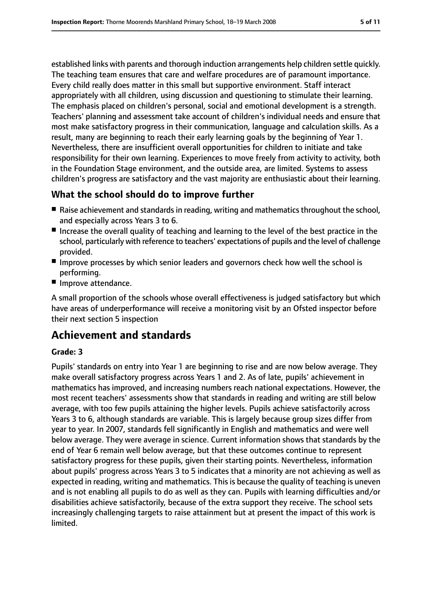established links with parents and thorough induction arrangements help children settle quickly. The teaching team ensures that care and welfare procedures are of paramount importance. Every child really does matter in this small but supportive environment. Staff interact appropriately with all children, using discussion and questioning to stimulate their learning. The emphasis placed on children's personal, social and emotional development is a strength. Teachers' planning and assessment take account of children's individual needs and ensure that most make satisfactory progress in their communication, language and calculation skills. As a result, many are beginning to reach their early learning goals by the beginning of Year 1. Nevertheless, there are insufficient overall opportunities for children to initiate and take responsibility for their own learning. Experiences to move freely from activity to activity, both in the Foundation Stage environment, and the outside area, are limited. Systems to assess children's progress are satisfactory and the vast majority are enthusiastic about their learning.

## **What the school should do to improve further**

- Raise achievement and standards in reading, writing and mathematics throughout the school, and especially across Years 3 to 6.
- Increase the overall quality of teaching and learning to the level of the best practice in the school, particularly with reference to teachers' expectations of pupils and the level of challenge provided.
- Improve processes by which senior leaders and governors check how well the school is performing.
- Improve attendance.

A small proportion of the schools whose overall effectiveness is judged satisfactory but which have areas of underperformance will receive a monitoring visit by an Ofsted inspector before their next section 5 inspection

# **Achievement and standards**

### **Grade: 3**

Pupils' standards on entry into Year 1 are beginning to rise and are now below average. They make overall satisfactory progress across Years 1 and 2. As of late, pupils' achievement in mathematics has improved, and increasing numbers reach national expectations. However, the most recent teachers' assessments show that standards in reading and writing are still below average, with too few pupils attaining the higher levels. Pupils achieve satisfactorily across Years 3 to 6, although standards are variable. This is largely because group sizes differ from year to year. In 2007, standards fell significantly in English and mathematics and were well below average. They were average in science. Current information shows that standards by the end of Year 6 remain well below average, but that these outcomes continue to represent satisfactory progress for these pupils, given their starting points. Nevertheless, information about pupils' progress across Years 3 to 5 indicates that a minority are not achieving as well as expected in reading, writing and mathematics. This is because the quality of teaching is uneven and is not enabling all pupils to do as well as they can. Pupils with learning difficulties and/or disabilities achieve satisfactorily, because of the extra support they receive. The school sets increasingly challenging targets to raise attainment but at present the impact of this work is limited.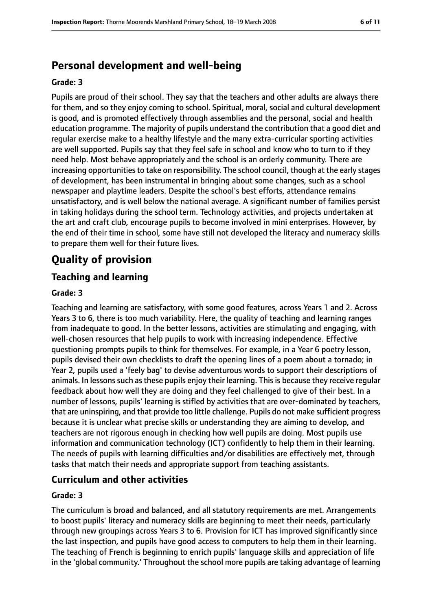# **Personal development and well-being**

#### **Grade: 3**

Pupils are proud of their school. They say that the teachers and other adults are always there for them, and so they enjoy coming to school. Spiritual, moral, social and cultural development is good, and is promoted effectively through assemblies and the personal, social and health education programme. The majority of pupils understand the contribution that a good diet and regular exercise make to a healthy lifestyle and the many extra-curricular sporting activities are well supported. Pupils say that they feel safe in school and know who to turn to if they need help. Most behave appropriately and the school is an orderly community. There are increasing opportunitiesto take on responsibility. The school council, though at the early stages of development, has been instrumental in bringing about some changes, such as a school newspaper and playtime leaders. Despite the school's best efforts, attendance remains unsatisfactory, and is well below the national average. A significant number of families persist in taking holidays during the school term. Technology activities, and projects undertaken at the art and craft club, encourage pupils to become involved in mini enterprises. However, by the end of their time in school, some have still not developed the literacy and numeracy skills to prepare them well for their future lives.

# **Quality of provision**

## **Teaching and learning**

#### **Grade: 3**

Teaching and learning are satisfactory, with some good features, across Years 1 and 2. Across Years 3 to 6, there is too much variability. Here, the quality of teaching and learning ranges from inadequate to good. In the better lessons, activities are stimulating and engaging, with well-chosen resources that help pupils to work with increasing independence. Effective questioning prompts pupils to think for themselves. For example, in a Year 6 poetry lesson, pupils devised their own checklists to draft the opening lines of a poem about a tornado; in Year 2, pupils used a 'feely bag' to devise adventurous words to support their descriptions of animals. In lessons such as these pupils enjoy their learning. This is because they receive regular feedback about how well they are doing and they feel challenged to give of their best. In a number of lessons, pupils' learning is stifled by activities that are over-dominated by teachers, that are uninspiring, and that provide too little challenge. Pupils do not make sufficient progress because it is unclear what precise skills or understanding they are aiming to develop, and teachers are not rigorous enough in checking how well pupils are doing. Most pupils use information and communication technology (ICT) confidently to help them in their learning. The needs of pupils with learning difficulties and/or disabilities are effectively met, through tasks that match their needs and appropriate support from teaching assistants.

## **Curriculum and other activities**

### **Grade: 3**

The curriculum is broad and balanced, and all statutory requirements are met. Arrangements to boost pupils' literacy and numeracy skills are beginning to meet their needs, particularly through new groupings across Years 3 to 6. Provision for ICT has improved significantly since the last inspection, and pupils have good access to computers to help them in their learning. The teaching of French is beginning to enrich pupils' language skills and appreciation of life in the 'global community.' Throughout the school more pupils are taking advantage of learning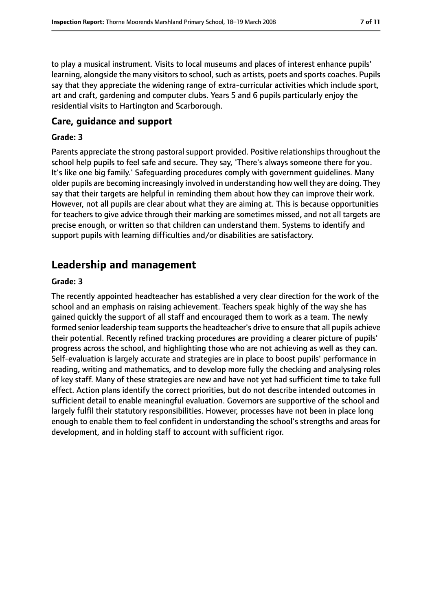to play a musical instrument. Visits to local museums and places of interest enhance pupils' learning, alongside the many visitors to school, such as artists, poets and sports coaches. Pupils say that they appreciate the widening range of extra-curricular activities which include sport, art and craft, gardening and computer clubs. Years 5 and 6 pupils particularly enjoy the residential visits to Hartington and Scarborough.

### **Care, guidance and support**

#### **Grade: 3**

Parents appreciate the strong pastoral support provided. Positive relationships throughout the school help pupils to feel safe and secure. They say, 'There's always someone there for you. It's like one big family.' Safeguarding procedures comply with government guidelines. Many older pupils are becoming increasingly involved in understanding how well they are doing. They say that their targets are helpful in reminding them about how they can improve their work. However, not all pupils are clear about what they are aiming at. This is because opportunities for teachers to give advice through their marking are sometimes missed, and not all targets are precise enough, or written so that children can understand them. Systems to identify and support pupils with learning difficulties and/or disabilities are satisfactory.

## **Leadership and management**

#### **Grade: 3**

The recently appointed headteacher has established a very clear direction for the work of the school and an emphasis on raising achievement. Teachers speak highly of the way she has gained quickly the support of all staff and encouraged them to work as a team. The newly formed senior leadership team supports the headteacher's drive to ensure that all pupils achieve their potential. Recently refined tracking procedures are providing a clearer picture of pupils' progress across the school, and highlighting those who are not achieving as well as they can. Self-evaluation is largely accurate and strategies are in place to boost pupils' performance in reading, writing and mathematics, and to develop more fully the checking and analysing roles of key staff. Many of these strategies are new and have not yet had sufficient time to take full effect. Action plans identify the correct priorities, but do not describe intended outcomes in sufficient detail to enable meaningful evaluation. Governors are supportive of the school and largely fulfil their statutory responsibilities. However, processes have not been in place long enough to enable them to feel confident in understanding the school's strengths and areas for development, and in holding staff to account with sufficient rigor.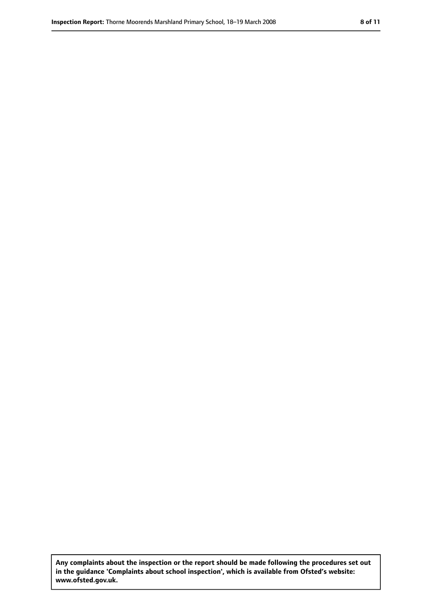**Any complaints about the inspection or the report should be made following the procedures set out in the guidance 'Complaints about school inspection', which is available from Ofsted's website: www.ofsted.gov.uk.**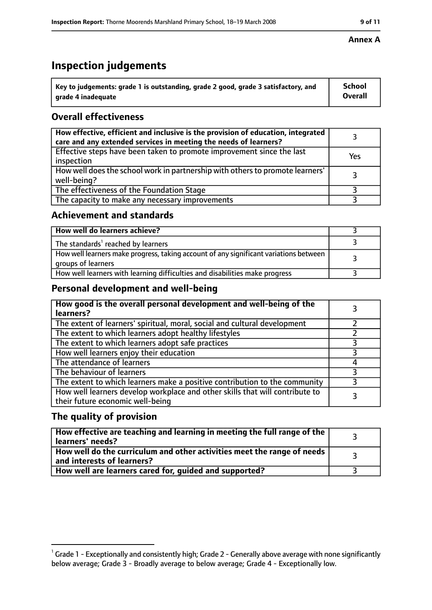# **Inspection judgements**

| $^{\backprime}$ Key to judgements: grade 1 is outstanding, grade 2 good, grade 3 satisfactory, and | <b>School</b>  |
|----------------------------------------------------------------------------------------------------|----------------|
| arade 4 inadeguate                                                                                 | <b>Overall</b> |

## **Overall effectiveness**

| How effective, efficient and inclusive is the provision of education, integrated<br>care and any extended services in meeting the needs of learners? |     |
|------------------------------------------------------------------------------------------------------------------------------------------------------|-----|
| Effective steps have been taken to promote improvement since the last<br>inspection                                                                  | Yes |
| How well does the school work in partnership with others to promote learners'<br>well-being?                                                         |     |
| The effectiveness of the Foundation Stage                                                                                                            |     |
| The capacity to make any necessary improvements                                                                                                      |     |

## **Achievement and standards**

| How well do learners achieve?                                                                               |  |
|-------------------------------------------------------------------------------------------------------------|--|
| The standards <sup>1</sup> reached by learners                                                              |  |
| How well learners make progress, taking account of any significant variations between<br>groups of learners |  |
| How well learners with learning difficulties and disabilities make progress                                 |  |

## **Personal development and well-being**

| How good is the overall personal development and well-being of the<br>learners?                                  |  |
|------------------------------------------------------------------------------------------------------------------|--|
| The extent of learners' spiritual, moral, social and cultural development                                        |  |
| The extent to which learners adopt healthy lifestyles                                                            |  |
| The extent to which learners adopt safe practices                                                                |  |
| How well learners enjoy their education                                                                          |  |
| The attendance of learners                                                                                       |  |
| The behaviour of learners                                                                                        |  |
| The extent to which learners make a positive contribution to the community                                       |  |
| How well learners develop workplace and other skills that will contribute to<br>their future economic well-being |  |

## **The quality of provision**

| How effective are teaching and learning in meeting the full range of the<br>learners' needs?          |  |
|-------------------------------------------------------------------------------------------------------|--|
| How well do the curriculum and other activities meet the range of needs<br>and interests of learners? |  |
| How well are learners cared for, guided and supported?                                                |  |

### **Annex A**

 $^1$  Grade 1 - Exceptionally and consistently high; Grade 2 - Generally above average with none significantly below average; Grade 3 - Broadly average to below average; Grade 4 - Exceptionally low.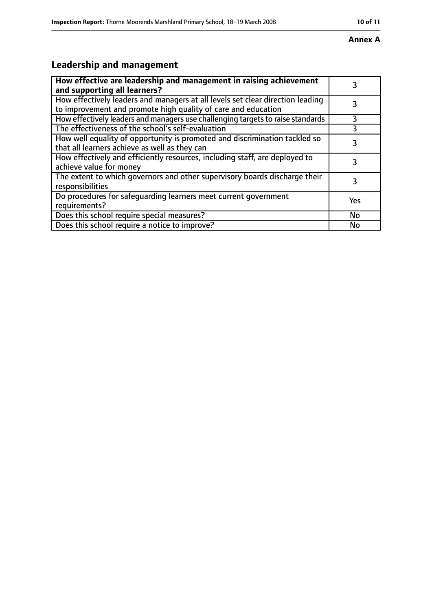#### **Annex A**

# **Leadership and management**

| How effective are leadership and management in raising achievement<br>and supporting all learners?                                              | 3   |
|-------------------------------------------------------------------------------------------------------------------------------------------------|-----|
| How effectively leaders and managers at all levels set clear direction leading<br>to improvement and promote high quality of care and education |     |
| How effectively leaders and managers use challenging targets to raise standards                                                                 | 3   |
| The effectiveness of the school's self-evaluation                                                                                               | 3   |
| How well equality of opportunity is promoted and discrimination tackled so<br>that all learners achieve as well as they can                     | 3   |
| How effectively and efficiently resources, including staff, are deployed to<br>achieve value for money                                          | 3   |
| The extent to which governors and other supervisory boards discharge their<br>responsibilities                                                  | 3   |
| Do procedures for safequarding learners meet current government<br>requirements?                                                                | Yes |
| Does this school require special measures?                                                                                                      | No  |
| Does this school require a notice to improve?                                                                                                   | No  |